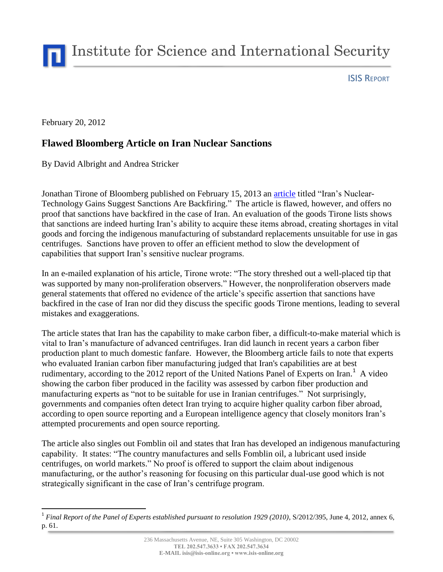Institute for Science and International Security

ISIS REPORT

February 20, 2012

## **Flawed Bloomberg Article on Iran Nuclear Sanctions**

By David Albright and Andrea Stricker

Jonathan Tirone of Bloomberg published on February 15, 2013 an [article](http://www.bloomberg.com/news/2013-02-15/iran-s-nuclear-technology-gains-suggest-sanctions-are-backfiring.html) titled "Iran's Nuclear-Technology Gains Suggest Sanctions Are Backfiring." The article is flawed, however, and offers no proof that sanctions have backfired in the case of Iran. An evaluation of the goods Tirone lists shows that sanctions are indeed hurting Iran's ability to acquire these items abroad, creating shortages in vital goods and forcing the indigenous manufacturing of substandard replacements unsuitable for use in gas centrifuges. Sanctions have proven to offer an efficient method to slow the development of capabilities that support Iran's sensitive nuclear programs.

In an e-mailed explanation of his article, Tirone wrote: "The story threshed out a well-placed tip that was supported by many non-proliferation observers." However, the nonproliferation observers made general statements that offered no evidence of the article's specific assertion that sanctions have backfired in the case of Iran nor did they discuss the specific goods Tirone mentions, leading to several mistakes and exaggerations.

The article states that Iran has the capability to make carbon fiber, a difficult-to-make material which is vital to Iran's manufacture of advanced centrifuges. Iran did launch in recent years a carbon fiber production plant to much domestic fanfare. However, the Bloomberg article fails to note that experts who evaluated Iranian carbon fiber manufacturing judged that Iran's capabilities are at best rudimentary, according to the 2012 report of the United Nations Panel of Experts on Iran.<sup>1</sup> A video showing the carbon fiber produced in the facility was assessed by carbon fiber production and manufacturing experts as "not to be suitable for use in Iranian centrifuges." Not surprisingly, governments and companies often detect Iran trying to acquire higher quality carbon fiber abroad, according to open source reporting and a European intelligence agency that closely monitors Iran's attempted procurements and open source reporting.

The article also singles out Fomblin oil and states that Iran has developed an indigenous manufacturing capability. It states: "The country manufactures and [sells Fomblin](http://bit.ly/Z1M8n3) oil, a lubricant used inside centrifuges, on world markets." No proof is offered to support the claim about indigenous manufacturing, or the author's reasoning for focusing on this particular dual-use good which is not strategically significant in the case of Iran's centrifuge program.

 $\overline{a}$ <sup>1</sup> Final Report of the Panel of Experts established pursuant to resolution 1929 (2010), S/2012/395, June 4, 2012, annex 6, p. 61.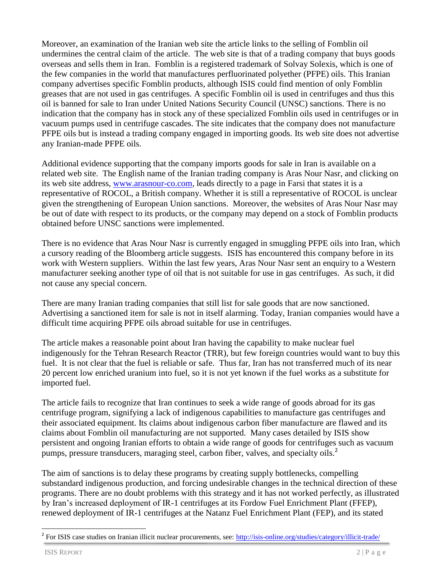Moreover, an examination of the Iranian web site the article links to the selling of Fomblin oil undermines the central claim of the article. The web site is that of a trading company that buys goods overseas and sells them in Iran. Fomblin is a registered trademark of Solvay Solexis, which is one of the few companies in the world that manufactures perfluorinated polyether (PFPE) oils. This Iranian company advertises specific Fomblin products, although ISIS could find mention of only Fomblin greases that are not used in gas centrifuges. A specific Fomblin oil is used in centrifuges and thus this oil is banned for sale to Iran under United Nations Security Council (UNSC) sanctions. There is no indication that the company has in stock any of these specialized Fomblin oils used in centrifuges or in vacuum pumps used in centrifuge cascades. The site indicates that the company does not manufacture PFPE oils but is instead a trading company engaged in importing goods. Its web site does not advertise any Iranian-made PFPE oils.

Additional evidence supporting that the company imports goods for sale in Iran is available on a related web site. The English name of the Iranian trading company is Aras Nour Nasr, and clicking on its web site address, [www.arasnour-co.com,](http://www.arasnour-co.com/) leads directly to a page in Farsi that states it is a representative of ROCOL, a British company. Whether it is still a representative of ROCOL is unclear given the strengthening of European Union sanctions. Moreover, the websites of Aras Nour Nasr may be out of date with respect to its products, or the company may depend on a stock of Fomblin products obtained before UNSC sanctions were implemented.

There is no evidence that Aras Nour Nasr is currently engaged in smuggling PFPE oils into Iran, which a cursory reading of the Bloomberg article suggests. ISIS has encountered this company before in its work with Western suppliers. Within the last few years, Aras Nour Nasr sent an enquiry to a Western manufacturer seeking another type of oil that is not suitable for use in gas centrifuges. As such, it did not cause any special concern.

There are many Iranian trading companies that still list for sale goods that are now sanctioned. Advertising a sanctioned item for sale is not in itself alarming. Today, Iranian companies would have a difficult time acquiring PFPE oils abroad suitable for use in centrifuges.

The article makes a reasonable point about Iran having the capability to make nuclear fuel indigenously for the Tehran Research Reactor (TRR), but few foreign countries would want to buy this fuel. It is not clear that the fuel is reliable or safe. Thus far, Iran has not transferred much of its near 20 percent low enriched uranium into fuel, so it is not yet known if the fuel works as a substitute for imported fuel.

The article fails to recognize that Iran continues to seek a wide range of goods abroad for its gas centrifuge program, signifying a lack of indigenous capabilities to manufacture gas centrifuges and their associated equipment. Its claims about indigenous carbon fiber manufacture are flawed and its claims about Fomblin oil manufacturing are not supported. Many cases detailed by ISIS show persistent and ongoing Iranian efforts to obtain a wide range of goods for centrifuges such as vacuum pumps, pressure transducers, maraging steel, carbon fiber, valves, and specialty oils.<sup>2</sup>

The aim of sanctions is to delay these programs by creating supply bottlenecks, compelling substandard indigenous production, and forcing undesirable changes in the technical direction of these programs. There are no doubt problems with this strategy and it has not worked perfectly, as illustrated by Iran's increased deployment of IR-1 centrifuges at its Fordow Fuel Enrichment Plant (FFEP), renewed deployment of IR-1 centrifuges at the Natanz Fuel Enrichment Plant (FEP), and its stated

<sup>&</sup>lt;sup>2</sup> For ISIS case studies on Iranian illicit nuclear procurements, see: <http://isis-online.org/studies/category/illicit-trade/>